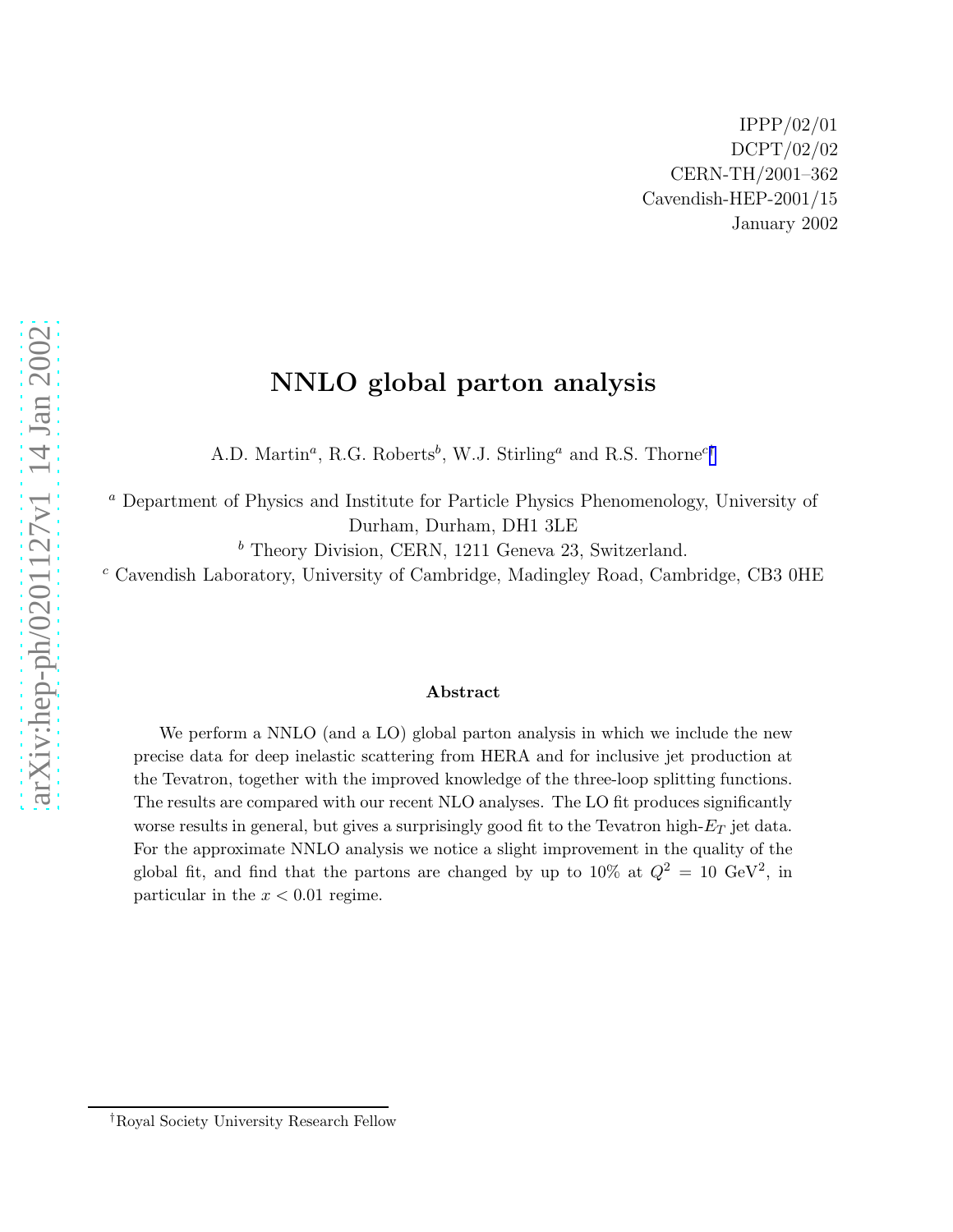# NNLO global parton analysis

A.D. Martin<sup>a</sup>, R.G. Roberts<sup>b</sup>, W.J. Stirling<sup>a</sup> and R.S. Thorne<sup>c†</sup>

<sup>a</sup> Department of Physics and Institute for Particle Physics Phenomenology, University of Durham, Durham, DH1 3LE

 $<sup>b</sup>$  Theory Division, CERN, 1211 Geneva 23, Switzerland.</sup>

 $c$  Cavendish Laboratory, University of Cambridge, Madingley Road, Cambridge, CB3 0HE

#### Abstract

We perform a NNLO (and a LO) global parton analysis in which we include the new precise data for deep inelastic scattering from HERA and for inclusive jet production at the Tevatron, together with the improved knowledge of the three-loop splitting functions. The results are compared with our recent NLO analyses. The LO fit produces significantly worse results in general, but gives a surprisingly good fit to the Tevatron high- $E_T$  jet data. For the approximate NNLO analysis we notice a slight improvement in the quality of the global fit, and find that the partons are changed by up to  $10\%$  at  $Q^2 = 10 \text{ GeV}^2$ , in particular in the  $x < 0.01$  regime.

<sup>†</sup>Royal Society University Research Fellow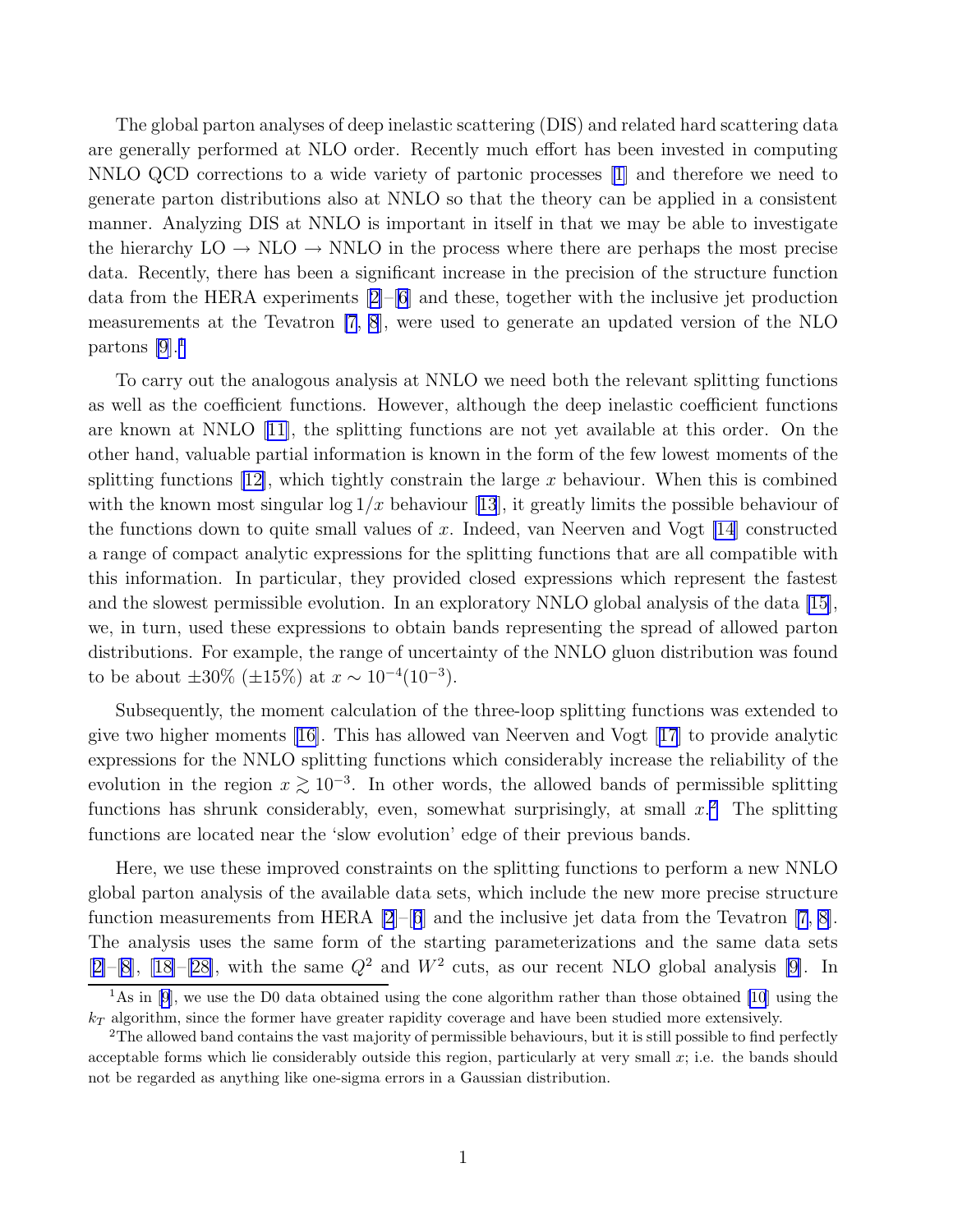The global parton analyses of deep inelastic scattering (DIS) and related hard scattering data are generally performed at NLO order. Recently much effort has been invested in computing NNLO QCD corrections to a wide variety of partonic processes [\[1\]](#page-10-0) and therefore we need to generate parton distributions also at NNLO so that the theory can be applied in a consistent manner. Analyzing DIS at NNLO is important in itself in that we may be able to investigate the hierarchy  $LO \rightarrow NLO \rightarrow NNLO$  in the process where there are perhaps the most precise data. Recently, there has been a significant increase in the precision of the structure function data from the HERA experiments[[2\]](#page-10-0)–[\[6\]](#page-10-0) and these, together with the inclusive jet production measurements at the Tevatron [\[7](#page-10-0), [8](#page-10-0)], were used to generate an updated version of the NLO partons [\[9](#page-10-0)].<sup>1</sup>

To carry out the analogous analysis at NNLO we need both the relevant splitting functions as well as the coefficient functions. However, although the deep inelastic coefficient functions are known at NNLO[[11\]](#page-10-0), the splitting functions are not yet available at this order. On the other hand, valuable partial information is known in the form of the few lowest moments of the splittingfunctions [[12\]](#page-10-0), which tightly constrain the large x behaviour. When this is combined withthe known most singular  $\log 1/x$  behaviour [[13](#page-11-0)], it greatly limits the possible behaviour of the functions down to quite small values of x. Indeed, van Neerven and Vogt  $[14]$  constructed a range of compact analytic expressions for the splitting functions that are all compatible with this information. In particular, they provided closed expressions which represent the fastest and the slowest permissible evolution. In an exploratory NNLO global analysis of the data [\[15](#page-11-0)], we, in turn, used these expressions to obtain bands representing the spread of allowed parton distributions. For example, the range of uncertainty of the NNLO gluon distribution was found to be about  $\pm 30\%$  ( $\pm 15\%$ ) at  $x \sim 10^{-4} (10^{-3})$ .

Subsequently, the moment calculation of the three-loop splitting functions was extended to give two higher moments [\[16\]](#page-11-0). This has allowed van Neerven and Vogt[[17](#page-11-0)] to provide analytic expressions for the NNLO splitting functions which considerably increase the reliability of the evolution in the region  $x \gtrsim 10^{-3}$ . In other words, the allowed bands of permissible splitting functions has shrunk considerably, even, somewhat surprisingly, at small  $x$ .<sup>2</sup> The splitting functions are located near the 'slow evolution' edge of their previous bands.

Here, we use these improved constraints on the splitting functions to perform a new NNLO global parton analysis of the available data sets, which include the new more precise structure function measurements from HERA  $[2]$ – $[6]$  $[6]$  $[6]$  and the inclusive jet data from the Tevatron  $[7, 8]$  $[7, 8]$  $[7, 8]$ . The analysis uses the same form of the starting parameterizations and the same data sets  $[2]$  $[2]$ -[\[8](#page-10-0)], [\[18\]](#page-11-0)-[\[28\]](#page-11-0), with the same  $Q^2$  and  $W^2$  cuts, as our recent NLO global analysis [\[9](#page-10-0)]. In

<sup>&</sup>lt;sup>1</sup>Asin [[9\]](#page-10-0), we use the D0 data obtained using the cone algorithm rather than those obtained [\[10](#page-10-0)] using the  $k_T$  algorithm, since the former have greater rapidity coverage and have been studied more extensively.

<sup>&</sup>lt;sup>2</sup>The allowed band contains the vast majority of permissible behaviours, but it is still possible to find perfectly acceptable forms which lie considerably outside this region, particularly at very small  $x$ ; i.e. the bands should not be regarded as anything like one-sigma errors in a Gaussian distribution.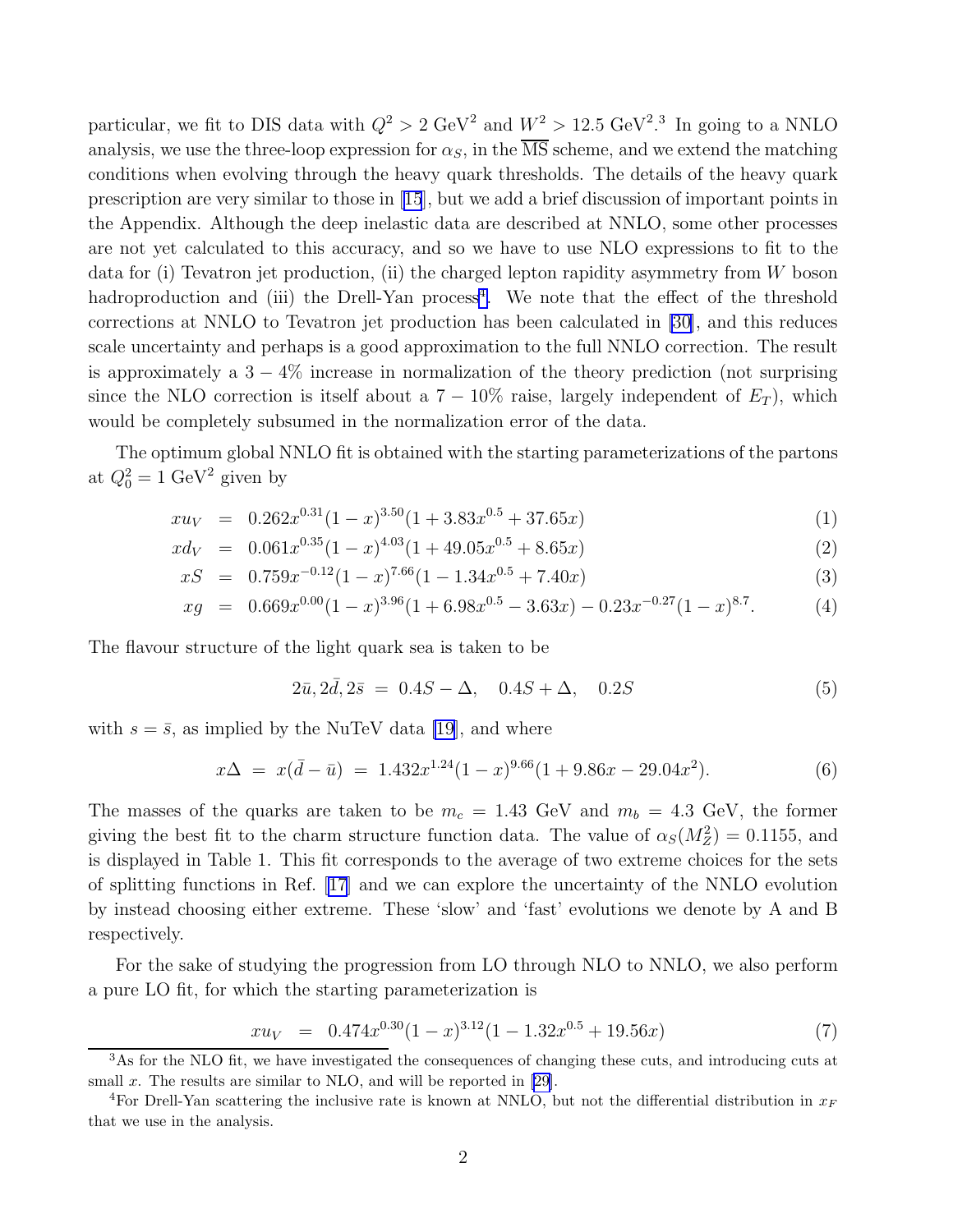particular, we fit to DIS data with  $Q^2 > 2 \text{ GeV}^2$  and  $W^2 > 12.5 \text{ GeV}^2$ .<sup>3</sup> In going to a NNLO analysis, we use the three-loop expression for  $\alpha_s$ , in the  $\overline{\text{MS}}$  scheme, and we extend the matching conditions when evolving through the heavy quark thresholds. The details of the heavy quark prescription are very similar to those in[[15](#page-11-0)], but we add a brief discussion of important points in the Appendix. Although the deep inelastic data are described at NNLO, some other processes are not yet calculated to this accuracy, and so we have to use NLO expressions to fit to the data for (i) Tevatron jet production, (ii) the charged lepton rapidity asymmetry from  $W$  boson hadroproduction and (iii) the Drell-Yan process<sup>4</sup>. We note that the effect of the threshold corrections at NNLO to Tevatron jet production has been calculated in [\[30\]](#page-11-0), and this reduces scale uncertainty and perhaps is a good approximation to the full NNLO correction. The result is approximately a  $3 - 4\%$  increase in normalization of the theory prediction (not surprising since the NLO correction is itself about a  $7 - 10\%$  raise, largely independent of  $E_T$ ), which would be completely subsumed in the normalization error of the data.

The optimum global NNLO fit is obtained with the starting parameterizations of the partons at  $Q_0^2 = 1 \text{ GeV}^2$  given by

$$
xu_V = 0.262x^{0.31}(1-x)^{3.50}(1+3.83x^{0.5}+37.65x)
$$
\n(1)

$$
xd_V = 0.061x^{0.35}(1-x)^{4.03}(1+49.05x^{0.5}+8.65x)
$$
\n(2)

$$
xS = 0.759x^{-0.12}(1-x)^{7.66}(1-1.34x^{0.5}+7.40x)
$$
\n(3)

$$
xg = 0.669x^{0.00}(1-x)^{3.96}(1+6.98x^{0.5}-3.63x)-0.23x^{-0.27}(1-x)^{8.7}.
$$
 (4)

The flavour structure of the light quark sea is taken to be

$$
2\bar{u}, 2\bar{d}, 2\bar{s} = 0.4S - \Delta, \quad 0.4S + \Delta, \quad 0.2S \tag{5}
$$

with  $s = \bar{s}$ , as implied by the NuTeV data [\[19\]](#page-11-0), and where

$$
x\Delta = x(\bar{d} - \bar{u}) = 1.432x^{1.24}(1 - x)^{9.66}(1 + 9.86x - 29.04x^2). \tag{6}
$$

The masses of the quarks are taken to be  $m_c = 1.43$  GeV and  $m_b = 4.3$  GeV, the former giving the best fit to the charm structure function data. The value of  $\alpha_S(M_Z^2) = 0.1155$ , and is displayed in Table 1. This fit corresponds to the average of two extreme choices for the sets of splitting functions in Ref. [\[17\]](#page-11-0) and we can explore the uncertainty of the NNLO evolution by instead choosing either extreme. These 'slow' and 'fast' evolutions we denote by A and B respectively.

For the sake of studying the progression from LO through NLO to NNLO, we also perform a pure LO fit, for which the starting parameterization is

$$
xu_V = 0.474x^{0.30}(1-x)^{3.12}(1-1.32x^{0.5}+19.56x)
$$
\n(7)

<sup>&</sup>lt;sup>3</sup>As for the NLO fit, we have investigated the consequences of changing these cuts, and introducing cuts at small  $x$ . The results are similar to NLO, and will be reported in [\[29](#page-11-0)].

<sup>&</sup>lt;sup>4</sup>For Drell-Yan scattering the inclusive rate is known at NNLO, but not the differential distribution in  $x_F$ that we use in the analysis.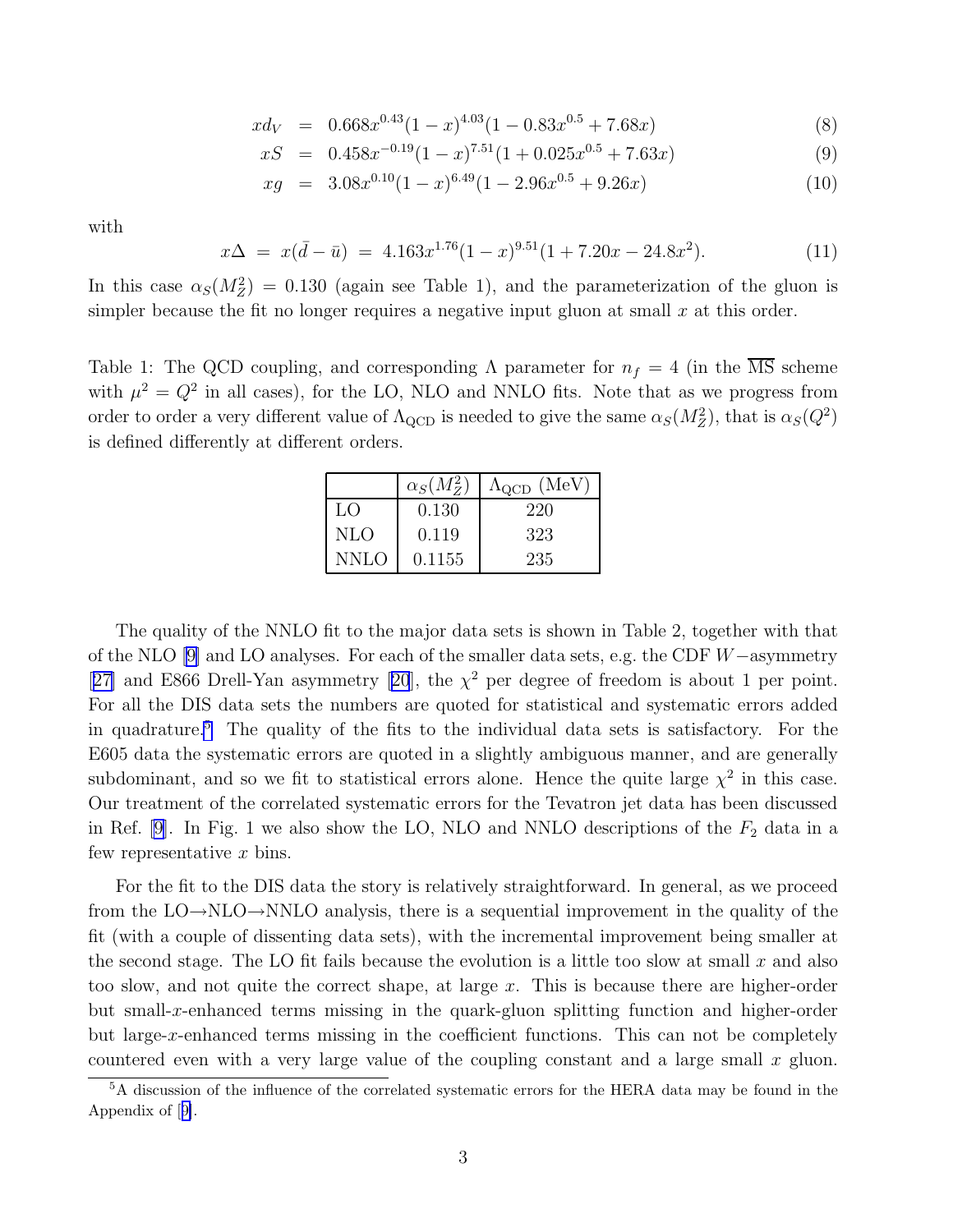$$
xd_V = 0.668x^{0.43}(1-x)^{4.03}(1-0.83x^{0.5}+7.68x)
$$
\n(8)

$$
xS = 0.458x^{-0.19}(1-x)^{7.51}(1+0.025x^{0.5}+7.63x)
$$
\n(9)

$$
xg = 3.08x^{0.10}(1-x)^{6.49}(1-2.96x^{0.5}+9.26x)
$$
\n(10)

with

$$
x\Delta = x(\bar{d} - \bar{u}) = 4.163x^{1.76}(1 - x)^{9.51}(1 + 7.20x - 24.8x^2). \tag{11}
$$

In this case  $\alpha_S(M_Z^2) = 0.130$  (again see Table 1), and the parameterization of the gluon is simpler because the fit no longer requires a negative input gluon at small  $x$  at this order.

Table 1: The QCD coupling, and corresponding  $\Lambda$  parameter for  $n_f = 4$  (in the  $\overline{\text{MS}}$  scheme with  $\mu^2 = Q^2$  in all cases), for the LO, NLO and NNLO fits. Note that as we progress from order to order a very different value of  $\Lambda_{\rm QCD}$  is needed to give the same  $\alpha_S(M_Z^2)$ , that is  $\alpha_S(Q^2)$ is defined differently at different orders.

|             | $\alpha_S(M_Z^2)$ | $\Lambda_{\rm QCD}$ (MeV) |
|-------------|-------------------|---------------------------|
| LO          | 0.130             | 220                       |
| <b>NLO</b>  | 0.119             | 323                       |
| <b>NNLO</b> | 0.1155            | 235                       |

The quality of the NNLO fit to the major data sets is shown in Table 2, together with that of the NLO [\[9\]](#page-10-0) and LO analyses. For each of the smaller data sets, e.g. the CDF W−asymmetry [[27\]](#page-11-0)and E866 Drell-Yan asymmetry [[20](#page-11-0)], the  $\chi^2$  per degree of freedom is about 1 per point. For all the DIS data sets the numbers are quoted for statistical and systematic errors added in quadrature.<sup>5</sup> The quality of the fits to the individual data sets is satisfactory. For the E605 data the systematic errors are quoted in a slightly ambiguous manner, and are generally subdominant, and so we fit to statistical errors alone. Hence the quite large  $\chi^2$  in this case. Our treatment of the correlated systematic errors for the Tevatron jet data has been discussed in Ref. [\[9](#page-10-0)]. In Fig. 1 we also show the LO, NLO and NNLO descriptions of the  $F_2$  data in a few representative x bins.

For the fit to the DIS data the story is relatively straightforward. In general, as we proceed from the  $LO\rightarrow NLO\rightarrow NNLO$  analysis, there is a sequential improvement in the quality of the fit (with a couple of dissenting data sets), with the incremental improvement being smaller at the second stage. The LO fit fails because the evolution is a little too slow at small  $x$  and also too slow, and not quite the correct shape, at large x. This is because there are higher-order but small-x-enhanced terms missing in the quark-gluon splitting function and higher-order but large-x-enhanced terms missing in the coefficient functions. This can not be completely countered even with a very large value of the coupling constant and a large small  $x$  gluon.

<sup>5</sup>A discussion of the influence of the correlated systematic errors for the HERA data may be found in the Appendix of[[9\]](#page-10-0).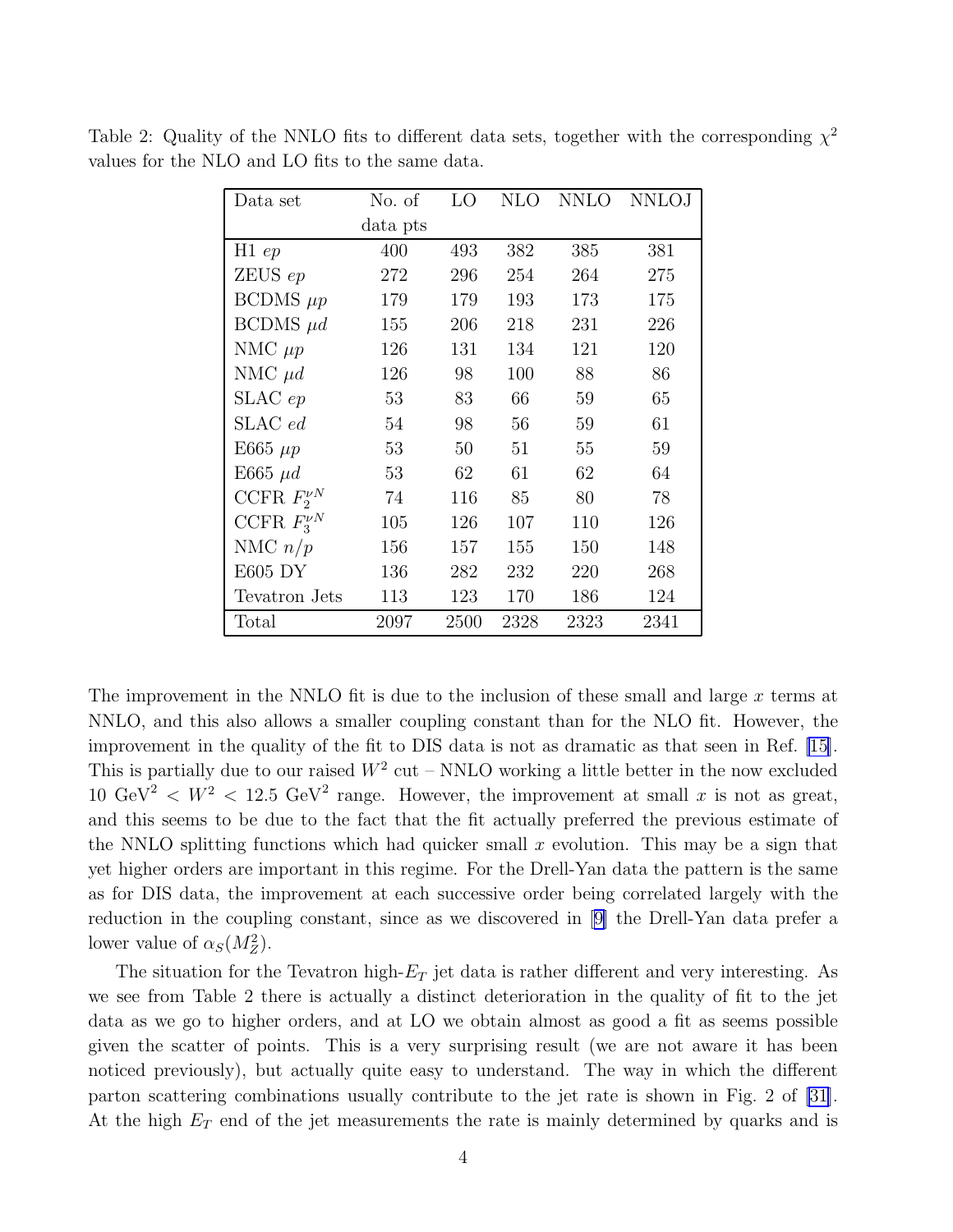| Data set           | No. of   | LО   | NLO  | <b>NNLO</b> | <b>NNLOJ</b> |
|--------------------|----------|------|------|-------------|--------------|
|                    | data pts |      |      |             |              |
| H1ep               | 400      | 493  | 382  | 385         | 381          |
| ZEUSep             | 272      | 296  | 254  | 264         | 275          |
| BCDMS $\mu p$      | 179      | 179  | 193  | 173         | 175          |
| $BCDMS$ $\mu d$    | 155      | 206  | 218  | 231         | 226          |
| NMC $\mu p$        | 126      | 131  | 134  | 121         | 120          |
| NMC $\mu d$        | 126      | 98   | 100  | 88          | 86           |
| SLACep             | 53       | 83   | 66   | 59          | 65           |
| SLAC ed            | 54       | 98   | 56   | 59          | 61           |
| E665 $\mu$ p       | 53       | 50   | 51   | 55          | 59           |
| E665 $\mu d$       | 53       | 62   | 61   | 62          | 64           |
| CCFR $F_2^{\nu N}$ | 74       | 116  | 85   | 80          | 78           |
| CCFR $F_3^{\nu N}$ | 105      | 126  | 107  | 110         | 126          |
| NMC $n/p$          | 156      | 157  | 155  | 150         | 148          |
| E605 DY            | 136      | 282  | 232  | 220         | 268          |
| Tevatron Jets      | 113      | 123  | 170  | 186         | 124          |
| Total              | 2097     | 2500 | 2328 | 2323        | 2341         |

Table 2: Quality of the NNLO fits to different data sets, together with the corresponding  $\chi^2$ values for the NLO and LO fits to the same data.

The improvement in the NNLO fit is due to the inclusion of these small and large x terms at NNLO, and this also allows a smaller coupling constant than for the NLO fit. However, the improvement in the quality of the fit to DIS data is not as dramatic as that seen in Ref. [\[15](#page-11-0)]. This is partially due to our raised  $W^2$  cut – NNLO working a little better in the now excluded 10 GeV<sup>2</sup>  $\lt W^2$   $\lt 12.5$  GeV<sup>2</sup> range. However, the improvement at small x is not as great, and this seems to be due to the fact that the fit actually preferred the previous estimate of the NNLO splitting functions which had quicker small  $x$  evolution. This may be a sign that yet higher orders are important in this regime. For the Drell-Yan data the pattern is the same as for DIS data, the improvement at each successive order being correlated largely with the reduction in the coupling constant, since as we discovered in[[9\]](#page-10-0) the Drell-Yan data prefer a lower value of  $\alpha_S(M_Z^2)$ .

The situation for the Tevatron high- $E_T$  jet data is rather different and very interesting. As we see from Table 2 there is actually a distinct deterioration in the quality of fit to the jet data as we go to higher orders, and at LO we obtain almost as good a fit as seems possible given the scatter of points. This is a very surprising result (we are not aware it has been noticed previously), but actually quite easy to understand. The way in which the different parton scattering combinations usually contribute to the jet rate is shown in Fig. 2 of [\[31](#page-11-0)]. At the high  $E_T$  end of the jet measurements the rate is mainly determined by quarks and is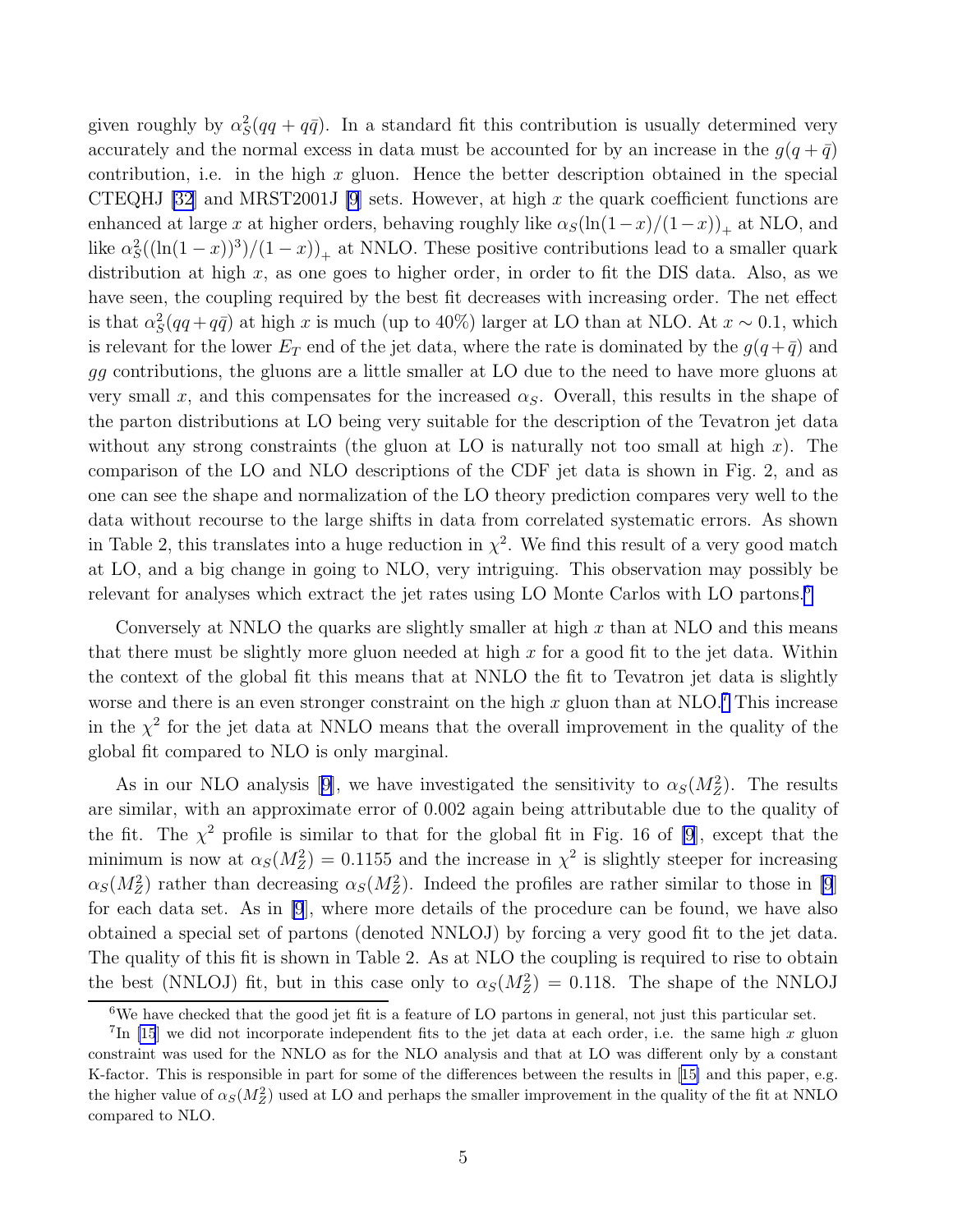given roughly by  $\alpha_S^2(qq + q\bar{q})$ . In a standard fit this contribution is usually determined very accurately and the normal excess in data must be accounted for by an increase in the  $q(q + \bar{q})$ contribution, i.e. in the high  $x$  gluon. Hence the better description obtained in the special CTEQHJ [\[32](#page-11-0)] and MRST2001J [\[9](#page-10-0)] sets. However, at high x the quark coefficient functions are enhanced at large x at higher orders, behaving roughly like  $\alpha_S(\ln(1-x)/(1-x))_+$  at NLO, and like  $\alpha_S^2((\ln(1-x))^3)/(1-x)$ <sub>+</sub> at NNLO. These positive contributions lead to a smaller quark distribution at high  $x$ , as one goes to higher order, in order to fit the DIS data. Also, as we have seen, the coupling required by the best fit decreases with increasing order. The net effect is that  $\alpha_S^2(qq + q\bar{q})$  at high x is much (up to 40%) larger at LO than at NLO. At  $x \sim 0.1$ , which is relevant for the lower  $E_T$  end of the jet data, where the rate is dominated by the  $g(q + \bar{q})$  and gg contributions, the gluons are a little smaller at LO due to the need to have more gluons at very small x, and this compensates for the increased  $\alpha_S$ . Overall, this results in the shape of the parton distributions at LO being very suitable for the description of the Tevatron jet data without any strong constraints (the gluon at LO is naturally not too small at high x). The comparison of the LO and NLO descriptions of the CDF jet data is shown in Fig. 2, and as one can see the shape and normalization of the LO theory prediction compares very well to the data without recourse to the large shifts in data from correlated systematic errors. As shown in Table 2, this translates into a huge reduction in  $\chi^2$ . We find this result of a very good match at LO, and a big change in going to NLO, very intriguing. This observation may possibly be relevant for analyses which extract the jet rates using LO Monte Carlos with LO partons.<sup>6</sup>

Conversely at NNLO the quarks are slightly smaller at high  $x$  than at NLO and this means that there must be slightly more gluon needed at high  $x$  for a good fit to the jet data. Within the context of the global fit this means that at NNLO the fit to Tevatron jet data is slightly worse and there is an even stronger constraint on the high  $x$  gluon than at NLO.<sup>7</sup> This increase in the  $\chi^2$  for the jet data at NNLO means that the overall improvement in the quality of the global fit compared to NLO is only marginal.

Asin our NLO analysis [[9\]](#page-10-0), we have investigated the sensitivity to  $\alpha_S(M_Z^2)$ . The results are similar, with an approximate error of 0.002 again being attributable due to the quality of the fit. The  $\chi^2$  profile is similar to that for the global fit in Fig. 16 of [\[9](#page-10-0)], except that the minimum is now at  $\alpha_S(M_Z^2) = 0.1155$  and the increase in  $\chi^2$  is slightly steeper for increasing  $\alpha_S(M_Z^2)$  rather than decreasing  $\alpha_S(M_Z^2)$ . Indeed the profiles are rather similar to those in [\[9](#page-10-0)] for each data set. As in [\[9](#page-10-0)], where more details of the procedure can be found, we have also obtained a special set of partons (denoted NNLOJ) by forcing a very good fit to the jet data. The quality of this fit is shown in Table 2. As at NLO the coupling is required to rise to obtain the best (NNLOJ) fit, but in this case only to  $\alpha_S(M_Z^2) = 0.118$ . The shape of the NNLOJ

<sup>6</sup>We have checked that the good jet fit is a feature of LO partons in general, not just this particular set.

<sup>&</sup>lt;sup>7</sup>In [\[15](#page-11-0)] we did not incorporate independent fits to the jet data at each order, i.e. the same high x gluon constraint was used for the NNLO as for the NLO analysis and that at LO was different only by a constant K-factor. This is responsible in part for some of the differences between the results in[[15\]](#page-11-0) and this paper, e.g. the higher value of  $\alpha_S(M_Z^2)$  used at LO and perhaps the smaller improvement in the quality of the fit at NNLO compared to NLO.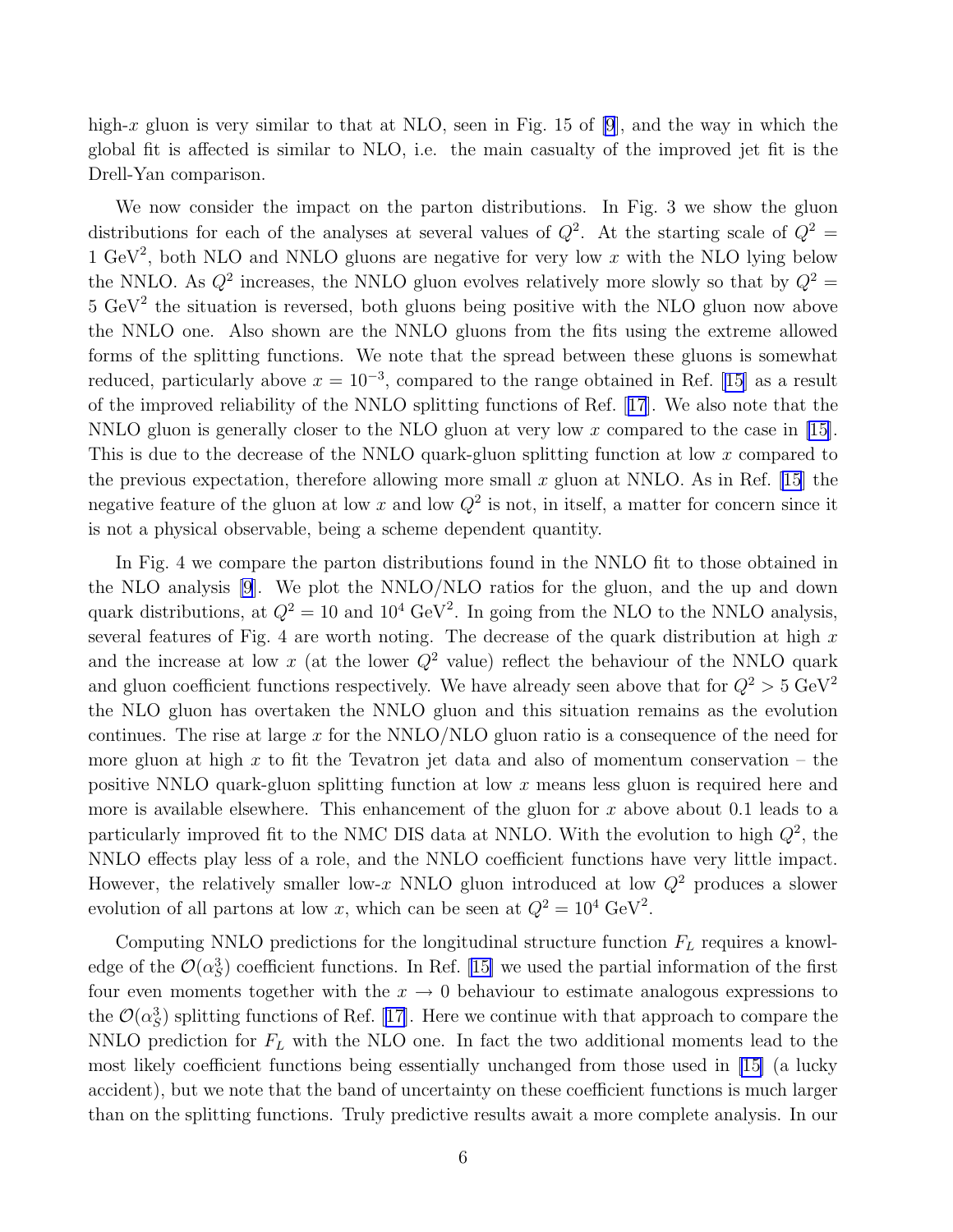high-x gluon is very similar to that at NLO, seen in Fig. 15 of [\[9](#page-10-0)], and the way in which the global fit is affected is similar to NLO, i.e. the main casualty of the improved jet fit is the Drell-Yan comparison.

We now consider the impact on the parton distributions. In Fig. 3 we show the gluon distributions for each of the analyses at several values of  $Q^2$ . At the starting scale of  $Q^2$  = 1 GeV<sup>2</sup>, both NLO and NNLO gluons are negative for very low x with the NLO lying below the NNLO. As  $Q^2$  increases, the NNLO gluon evolves relatively more slowly so that by  $Q^2 =$  $5 \text{ GeV}^2$  the situation is reversed, both gluons being positive with the NLO gluon now above the NNLO one. Also shown are the NNLO gluons from the fits using the extreme allowed forms of the splitting functions. We note that the spread between these gluons is somewhat reduced, particularly above  $x = 10^{-3}$ , compared to the range obtained in Ref. [\[15\]](#page-11-0) as a result of the improved reliability of the NNLO splitting functions of Ref.[[17](#page-11-0)]. We also note that the NNLO gluon is generally closer to the NLO gluon at very low x compared to the case in [\[15](#page-11-0)]. This is due to the decrease of the NNLO quark-gluon splitting function at low x compared to the previous expectation, therefore allowing more small x gluon at NNLO. As in Ref. [\[15](#page-11-0)] the negative feature of the gluon at low x and low  $Q^2$  is not, in itself, a matter for concern since it is not a physical observable, being a scheme dependent quantity.

In Fig. 4 we compare the parton distributions found in the NNLO fit to those obtained in the NLO analysis [\[9](#page-10-0)]. We plot the NNLO/NLO ratios for the gluon, and the up and down quark distributions, at  $Q^2 = 10$  and  $10^4 \text{ GeV}^2$ . In going from the NLO to the NNLO analysis, several features of Fig. 4 are worth noting. The decrease of the quark distribution at high  $x$ and the increase at low x (at the lower  $Q^2$  value) reflect the behaviour of the NNLO quark and gluon coefficient functions respectively. We have already seen above that for  $Q^2 > 5 \text{ GeV}^2$ the NLO gluon has overtaken the NNLO gluon and this situation remains as the evolution continues. The rise at large  $x$  for the NNLO/NLO gluon ratio is a consequence of the need for more gluon at high x to fit the Tevatron jet data and also of momentum conservation – the positive NNLO quark-gluon splitting function at low x means less gluon is required here and more is available elsewhere. This enhancement of the gluon for  $x$  above about 0.1 leads to a particularly improved fit to the NMC DIS data at NNLO. With the evolution to high  $Q^2$ , the NNLO effects play less of a role, and the NNLO coefficient functions have very little impact. However, the relatively smaller low-x NNLO gluon introduced at low  $Q^2$  produces a slower evolution of all partons at low x, which can be seen at  $Q^2 = 10^4 \text{ GeV}^2$ .

Computing NNLO predictions for the longitudinal structure function  $F<sub>L</sub>$  requires a knowledge of the  $\mathcal{O}(\alpha_S^3)$  coefficient functions. In Ref. [\[15\]](#page-11-0) we used the partial information of the first four even moments together with the  $x \to 0$  behaviour to estimate analogous expressions to the $\mathcal{O}(\alpha_S^3)$  splitting functions of Ref. [[17\]](#page-11-0). Here we continue with that approach to compare the NNLO prediction for  $F_L$  with the NLO one. In fact the two additional moments lead to the most likely coefficient functions being essentially unchanged from those used in [\[15\]](#page-11-0) (a lucky accident), but we note that the band of uncertainty on these coefficient functions is much larger than on the splitting functions. Truly predictive results await a more complete analysis. In our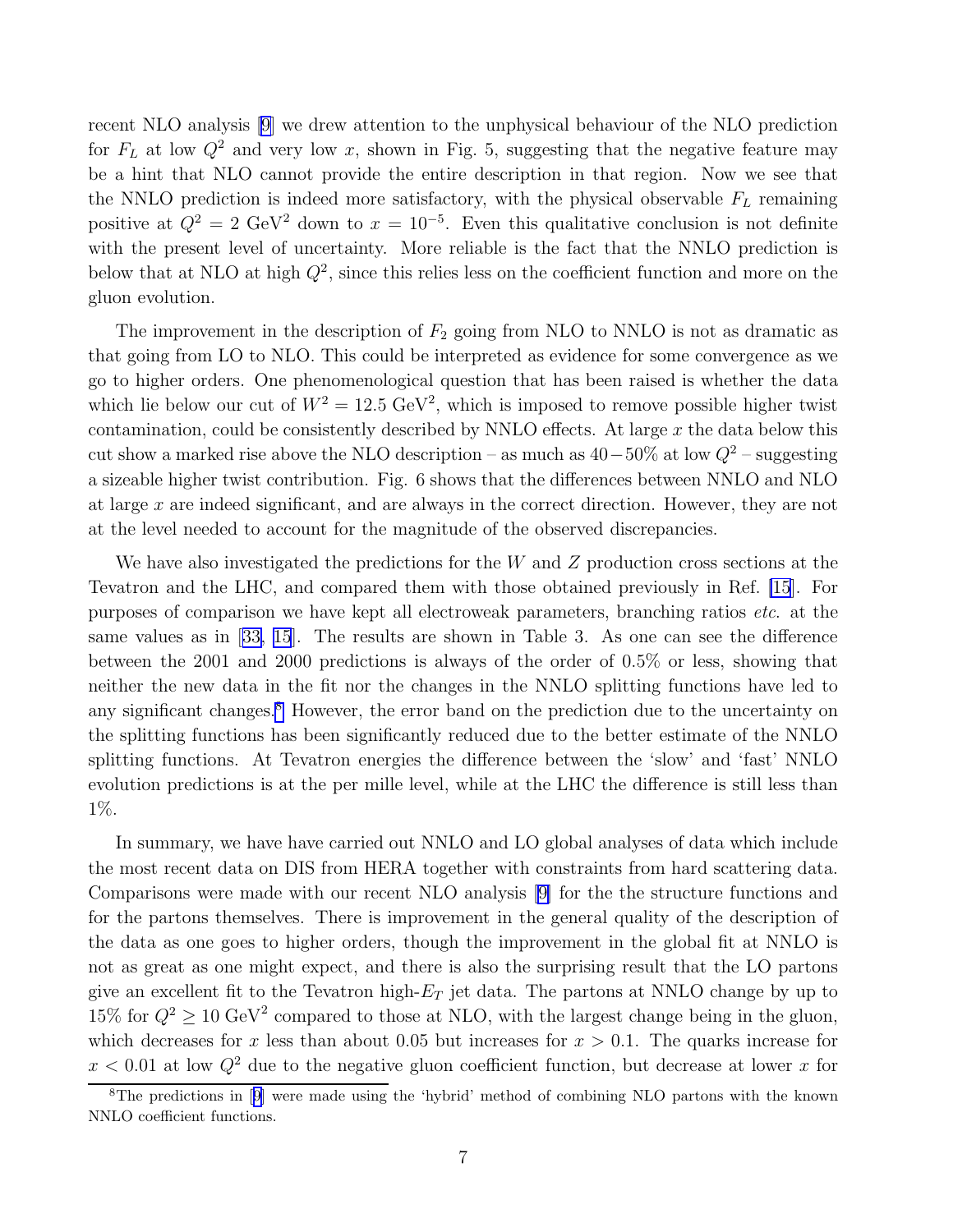recent NLO analysis [\[9\]](#page-10-0) we drew attention to the unphysical behaviour of the NLO prediction for  $F<sub>L</sub>$  at low  $Q<sup>2</sup>$  and very low x, shown in Fig. 5, suggesting that the negative feature may be a hint that NLO cannot provide the entire description in that region. Now we see that the NNLO prediction is indeed more satisfactory, with the physical observable  $F_L$  remaining positive at  $Q^2 = 2 \text{ GeV}^2$  down to  $x = 10^{-5}$ . Even this qualitative conclusion is not definite with the present level of uncertainty. More reliable is the fact that the NNLO prediction is below that at NLO at high  $Q^2$ , since this relies less on the coefficient function and more on the gluon evolution.

The improvement in the description of  $F_2$  going from NLO to NNLO is not as dramatic as that going from LO to NLO. This could be interpreted as evidence for some convergence as we go to higher orders. One phenomenological question that has been raised is whether the data which lie below our cut of  $W^2 = 12.5 \text{ GeV}^2$ , which is imposed to remove possible higher twist contamination, could be consistently described by NNLO effects. At large  $x$  the data below this cut show a marked rise above the NLO description – as much as  $40-50\%$  at low  $Q^2$  – suggesting a sizeable higher twist contribution. Fig. 6 shows that the differences between NNLO and NLO at large  $x$  are indeed significant, and are always in the correct direction. However, they are not at the level needed to account for the magnitude of the observed discrepancies.

We have also investigated the predictions for the W and Z production cross sections at the Tevatron and the LHC, and compared them with those obtained previously in Ref. [\[15](#page-11-0)]. For purposes of comparison we have kept all electroweak parameters, branching ratios etc. at the same values as in[[33,](#page-12-0) [15](#page-11-0)]. The results are shown in Table 3. As one can see the difference between the 2001 and 2000 predictions is always of the order of 0.5% or less, showing that neither the new data in the fit nor the changes in the NNLO splitting functions have led to any significant changes.<sup>8</sup> However, the error band on the prediction due to the uncertainty on the splitting functions has been significantly reduced due to the better estimate of the NNLO splitting functions. At Tevatron energies the difference between the 'slow' and 'fast' NNLO evolution predictions is at the per mille level, while at the LHC the difference is still less than 1%.

In summary, we have have carried out NNLO and LO global analyses of data which include the most recent data on DIS from HERA together with constraints from hard scattering data. Comparisons were made with our recent NLO analysis [\[9\]](#page-10-0) for the the structure functions and for the partons themselves. There is improvement in the general quality of the description of the data as one goes to higher orders, though the improvement in the global fit at NNLO is not as great as one might expect, and there is also the surprising result that the LO partons give an excellent fit to the Tevatron high- $E_T$  jet data. The partons at NNLO change by up to 15% for  $Q^2 \ge 10 \text{ GeV}^2$  compared to those at NLO, with the largest change being in the gluon, which decreases for x less than about 0.05 but increases for  $x > 0.1$ . The quarks increase for  $x < 0.01$  at low  $Q^2$  due to the negative gluon coefficient function, but decrease at lower x for

<sup>&</sup>lt;sup>8</sup>Thepredictions in [[9\]](#page-10-0) were made using the 'hybrid' method of combining NLO partons with the known NNLO coefficient functions.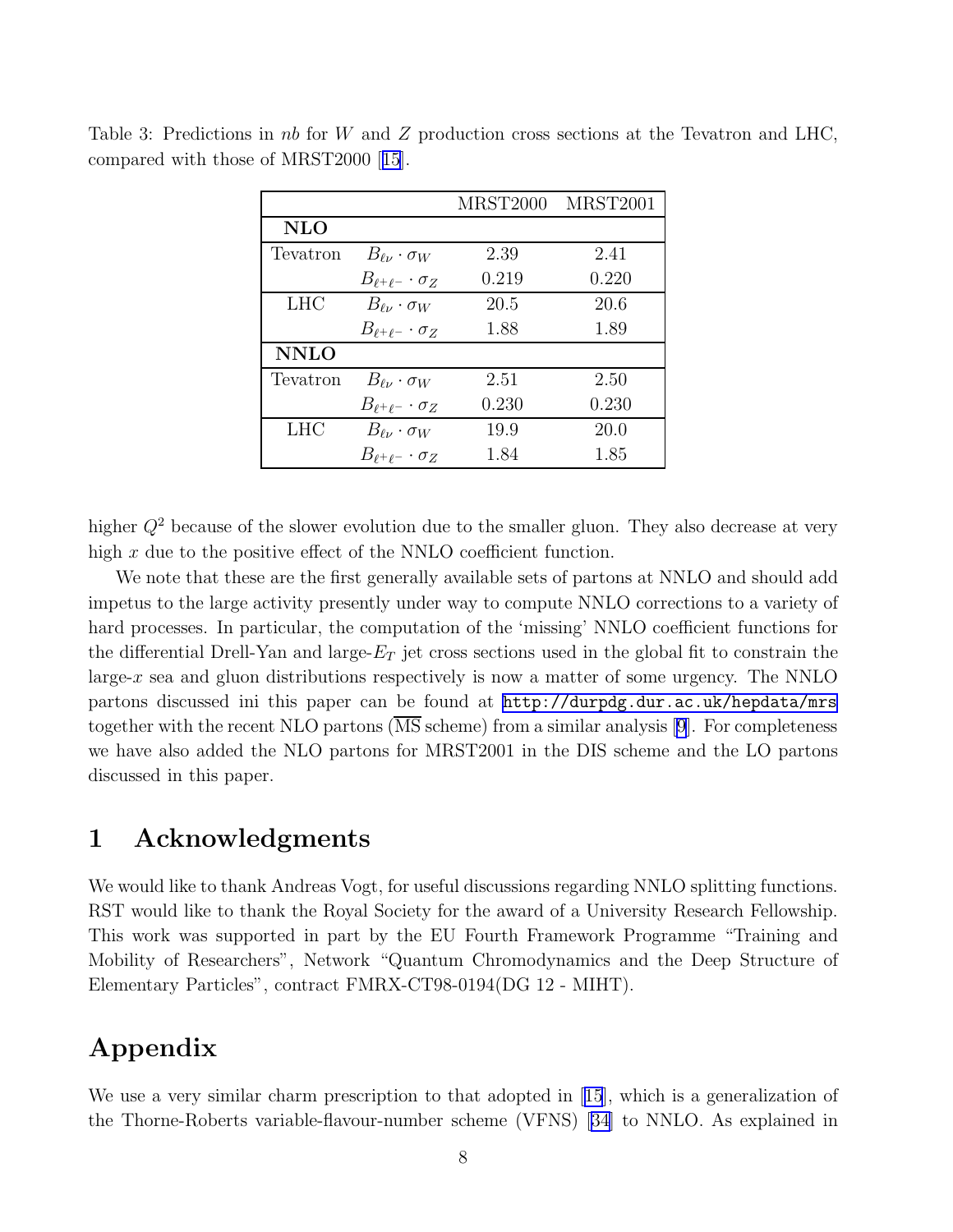|             |                                 | <b>MRST2000</b> | <b>MRST2001</b> |
|-------------|---------------------------------|-----------------|-----------------|
| NLO         |                                 |                 |                 |
| Tevatron    | $B_{\ell\nu} \cdot \sigma_W$    | 2.39            | 2.41            |
|             | $B_{\ell^+\ell^-}\cdot\sigma_Z$ | 0.219           | 0.220           |
| <b>LHC</b>  | $B_{\ell\nu} \cdot \sigma_W$    | 20.5            | 20.6            |
|             | $B_{\ell^+\ell^-}\cdot\sigma_Z$ | 1.88            | 1.89            |
| <b>NNLO</b> |                                 |                 |                 |
| Tevatron    | $B_{\ell\nu} \cdot \sigma_W$    | 2.51            | 2.50            |
|             | $B_{\ell^+\ell^-}\cdot\sigma_Z$ | 0.230           | 0.230           |
| <b>LHC</b>  | $B_{\ell\nu} \cdot \sigma_W$    | 19.9            | 20.0            |
|             | $B_{\ell^+\ell^-}\cdot\sigma_Z$ | 1.84            | 1.85            |

Table 3: Predictions in nb for W and Z production cross sections at the Tevatron and LHC, compared with those of MRST2000[[15](#page-11-0)].

higher  $Q^2$  because of the slower evolution due to the smaller gluon. They also decrease at very high  $x$  due to the positive effect of the NNLO coefficient function.

We note that these are the first generally available sets of partons at NNLO and should add impetus to the large activity presently under way to compute NNLO corrections to a variety of hard processes. In particular, the computation of the 'missing' NNLO coefficient functions for the differential Drell-Yan and large- $E_T$  jet cross sections used in the global fit to constrain the large-x sea and gluon distributions respectively is now a matter of some urgency. The NNLO partons discussed ini this paper can be found at <http://durpdg.dur.ac.uk/hepdata/mrs> together with the recent NLO partons  $(\overline{\text{MS}}\text{ scheme})$  from a similar analysis [\[9](#page-10-0)]. For completeness we have also added the NLO partons for MRST2001 in the DIS scheme and the LO partons discussed in this paper.

### 1 Acknowledgments

We would like to thank Andreas Vogt, for useful discussions regarding NNLO splitting functions. RST would like to thank the Royal Society for the award of a University Research Fellowship. This work was supported in part by the EU Fourth Framework Programme "Training and Mobility of Researchers", Network "Quantum Chromodynamics and the Deep Structure of Elementary Particles", contract FMRX-CT98-0194(DG 12 - MIHT).

# Appendix

We use a very similar charm prescription to that adopted in[[15](#page-11-0)], which is a generalization of the Thorne-Roberts variable-flavour-number scheme (VFNS) [\[34\]](#page-12-0) to NNLO. As explained in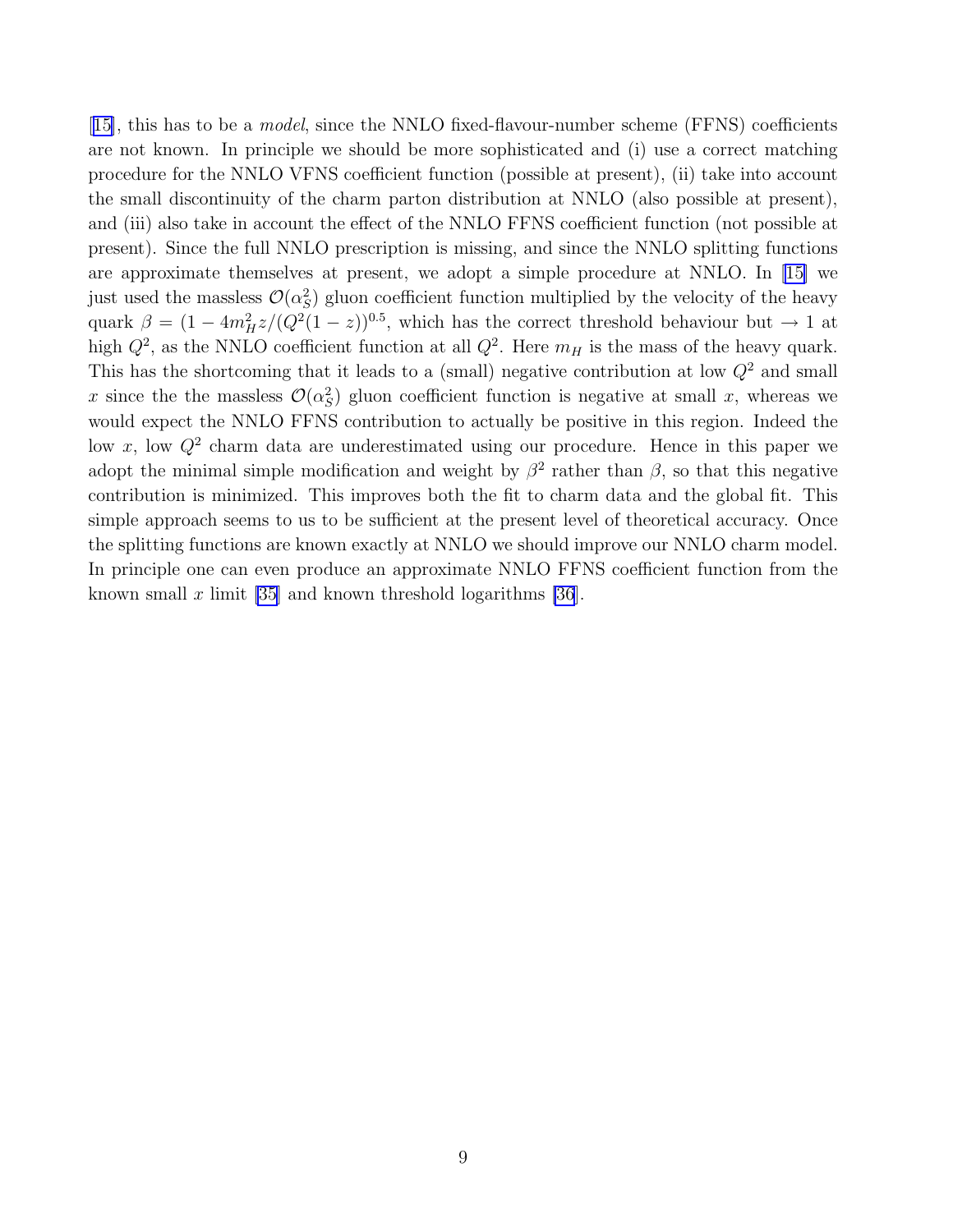[[15\]](#page-11-0), this has to be a *model*, since the NNLO fixed-flavour-number scheme (FFNS) coefficients are not known. In principle we should be more sophisticated and (i) use a correct matching procedure for the NNLO VFNS coefficient function (possible at present), (ii) take into account the small discontinuity of the charm parton distribution at NNLO (also possible at present), and (iii) also take in account the effect of the NNLO FFNS coefficient function (not possible at present). Since the full NNLO prescription is missing, and since the NNLO splitting functions are approximate themselves at present, we adopt a simple procedure at NNLO. In[[15\]](#page-11-0) we just used the massless  $\mathcal{O}(\alpha_S^2)$  gluon coefficient function multiplied by the velocity of the heavy quark  $\beta = (1 - 4m_H^2 z/(Q^2(1-z))^{0.5}$ , which has the correct threshold behaviour but  $\rightarrow 1$  at high  $Q^2$ , as the NNLO coefficient function at all  $Q^2$ . Here  $m_H$  is the mass of the heavy quark. This has the shortcoming that it leads to a (small) negative contribution at low  $Q^2$  and small x since the the massless  $\mathcal{O}(\alpha_S^2)$  gluon coefficient function is negative at small x, whereas we would expect the NNLO FFNS contribution to actually be positive in this region. Indeed the low x, low  $Q^2$  charm data are underestimated using our procedure. Hence in this paper we adopt the minimal simple modification and weight by  $\beta^2$  rather than  $\beta$ , so that this negative contribution is minimized. This improves both the fit to charm data and the global fit. This simple approach seems to us to be sufficient at the present level of theoretical accuracy. Once the splitting functions are known exactly at NNLO we should improve our NNLO charm model. In principle one can even produce an approximate NNLO FFNS coefficient function from the known small x limit [\[35\]](#page-12-0) and known threshold logarithms [\[36](#page-12-0)].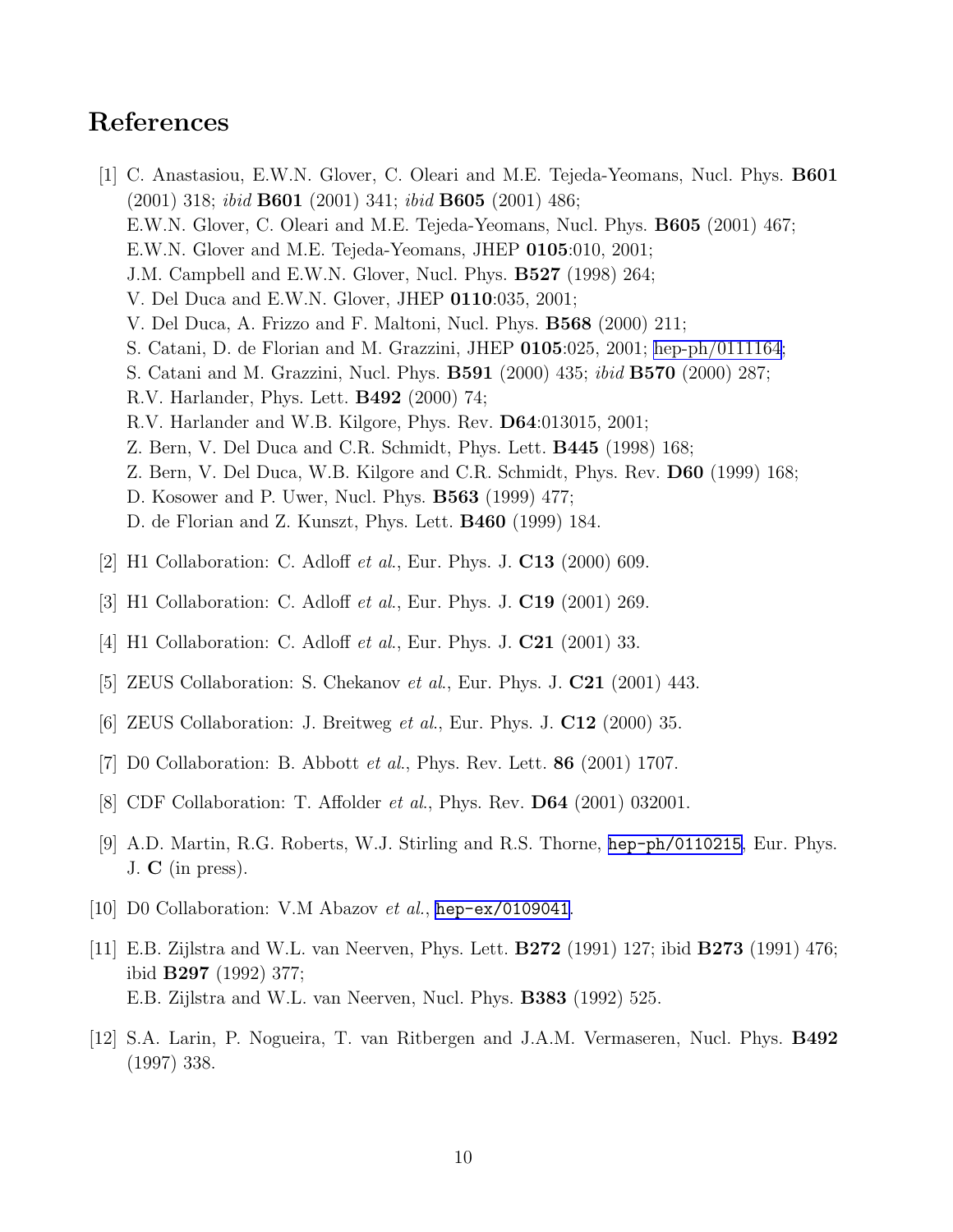## <span id="page-10-0"></span>References

- [1] C. Anastasiou, E.W.N. Glover, C. Oleari and M.E. Tejeda-Yeomans, Nucl. Phys. B601  $(2001)$  318; *ibid* **B601** (2001) 341; *ibid* **B605** (2001) 486; E.W.N. Glover, C. Oleari and M.E. Tejeda-Yeomans, Nucl. Phys. B605 (2001) 467; E.W.N. Glover and M.E. Tejeda-Yeomans, JHEP 0105:010, 2001; J.M. Campbell and E.W.N. Glover, Nucl. Phys. **B527** (1998) 264; V. Del Duca and E.W.N. Glover, JHEP 0110:035, 2001; V. Del Duca, A. Frizzo and F. Maltoni, Nucl. Phys. B568 (2000) 211; S. Catani, D. de Florian and M. Grazzini, JHEP 0105:025, 2001; [hep-ph/0111164](http://arXiv.org/abs/hep-ph/0111164); S. Catani and M. Grazzini, Nucl. Phys. B591 (2000) 435; ibid B570 (2000) 287; R.V. Harlander, Phys. Lett. B492 (2000) 74; R.V. Harlander and W.B. Kilgore, Phys. Rev. D64:013015, 2001; Z. Bern, V. Del Duca and C.R. Schmidt, Phys. Lett. B445 (1998) 168; Z. Bern, V. Del Duca, W.B. Kilgore and C.R. Schmidt, Phys. Rev. D60 (1999) 168; D. Kosower and P. Uwer, Nucl. Phys. B563 (1999) 477; D. de Florian and Z. Kunszt, Phys. Lett. B460 (1999) 184.
- [2] H1 Collaboration: C. Adloff et al., Eur. Phys. J. C13 (2000) 609.
- [3] H1 Collaboration: C. Adloff *et al.*, Eur. Phys. J. **C19** (2001) 269.
- [4] H1 Collaboration: C. Adloff *et al.*, Eur. Phys. J. **C21** (2001) 33.
- [5] ZEUS Collaboration: S. Chekanov *et al.*, Eur. Phys. J. **C21** (2001) 443.
- [6] ZEUS Collaboration: J. Breitweg et al., Eur. Phys. J. C12 (2000) 35.
- [7] D0 Collaboration: B. Abbott *et al.*, Phys. Rev. Lett. **86** (2001) 1707.
- [8] CDF Collaboration: T. Affolder *et al.*, Phys. Rev. **D64** (2001) 032001.
- [9] A.D. Martin, R.G. Roberts, W.J. Stirling and R.S. Thorne, [hep-ph/0110215](http://arXiv.org/abs/hep-ph/0110215), Eur. Phys. J.  $C$  (in press).
- [10] D0 Collaboration: V.M Abazov *et al.*, [hep-ex/0109041](http://arXiv.org/abs/hep-ex/0109041).
- [11] E.B. Zijlstra and W.L. van Neerven, Phys. Lett. B272 (1991) 127; ibid B273 (1991) 476; ibid B297 (1992) 377; E.B. Zijlstra and W.L. van Neerven, Nucl. Phys. B383 (1992) 525.
- [12] S.A. Larin, P. Nogueira, T. van Ritbergen and J.A.M. Vermaseren, Nucl. Phys. B492 (1997) 338.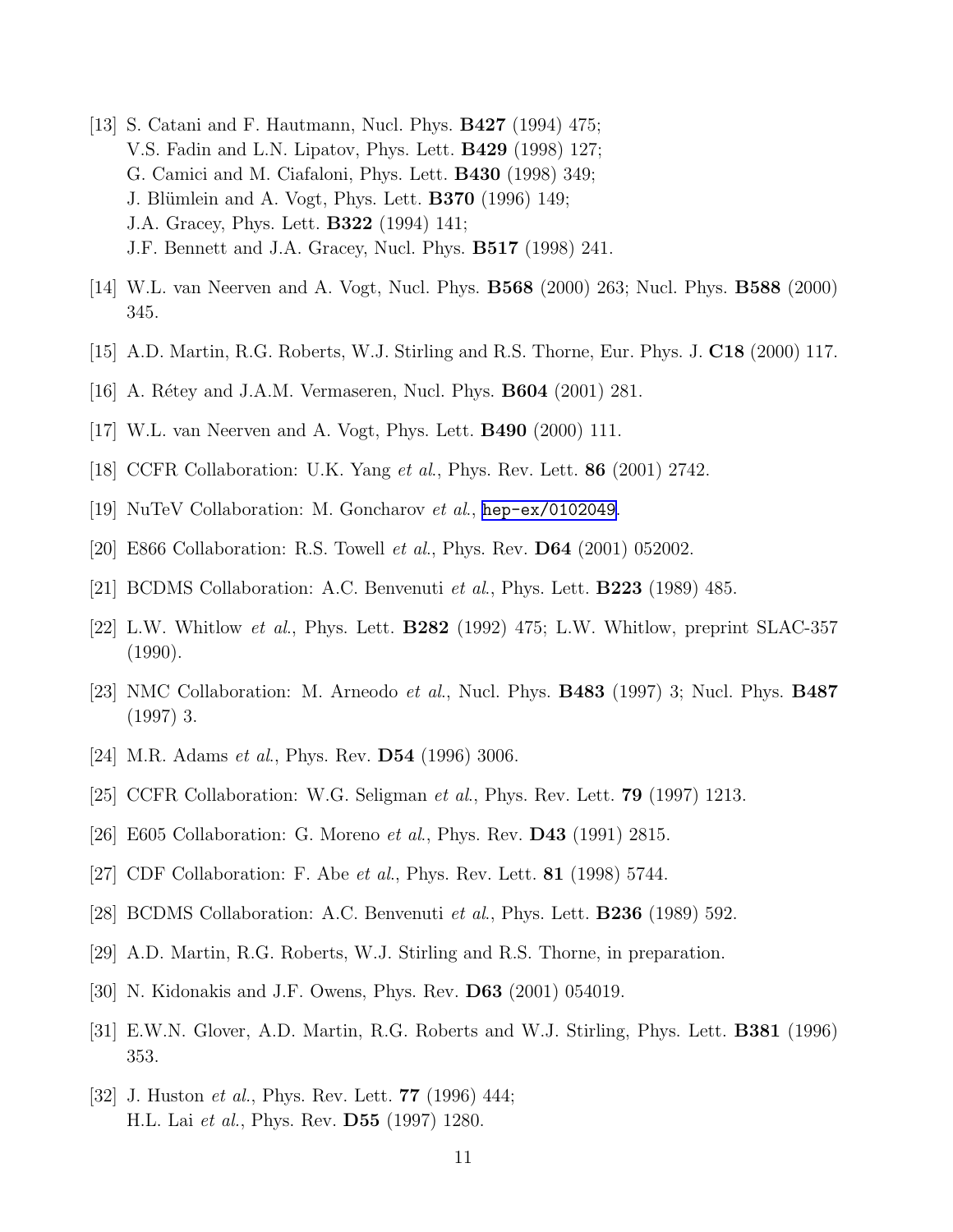- <span id="page-11-0"></span>[13] S. Catani and F. Hautmann, Nucl. Phys. B427 (1994) 475; V.S. Fadin and L.N. Lipatov, Phys. Lett. B429 (1998) 127; G. Camici and M. Ciafaloni, Phys. Lett. B430 (1998) 349; J. Blümlein and A. Vogt, Phys. Lett.  $B370$  (1996) 149; J.A. Gracey, Phys. Lett. B322 (1994) 141; J.F. Bennett and J.A. Gracey, Nucl. Phys. B517 (1998) 241.
- [14] W.L. van Neerven and A. Vogt, Nucl. Phys. B568 (2000) 263; Nucl. Phys. B588 (2000) 345.
- [15] A.D. Martin, R.G. Roberts, W.J. Stirling and R.S. Thorne, Eur. Phys. J. C18 (2000) 117.
- [16] A. Rétey and J.A.M. Vermaseren, Nucl. Phys. **B604** (2001) 281.
- [17] W.L. van Neerven and A. Vogt, Phys. Lett. B490 (2000) 111.
- [18] CCFR Collaboration: U.K. Yang et al., Phys. Rev. Lett. 86 (2001) 2742.
- [19] NuTeV Collaboration: M. Goncharov et al., [hep-ex/0102049](http://arXiv.org/abs/hep-ex/0102049).
- [20] E866 Collaboration: R.S. Towell et al., Phys. Rev. D64 (2001) 052002.
- [21] BCDMS Collaboration: A.C. Benvenuti et al., Phys. Lett. B223 (1989) 485.
- [22] L.W. Whitlow et al., Phys. Lett. **B282** (1992) 475; L.W. Whitlow, preprint SLAC-357 (1990).
- [23] NMC Collaboration: M. Arneodo *et al.*, Nucl. Phys. **B483** (1997) 3; Nucl. Phys. **B487** (1997) 3.
- [24] M.R. Adams *et al.*, Phys. Rev. **D54** (1996) 3006.
- [25] CCFR Collaboration: W.G. Seligman et al., Phys. Rev. Lett. 79 (1997) 1213.
- [26] E605 Collaboration: G. Moreno *et al.*, Phys. Rev. **D43** (1991) 2815.
- [27] CDF Collaboration: F. Abe *et al.*, Phys. Rev. Lett. **81** (1998) 5744.
- [28] BCDMS Collaboration: A.C. Benvenuti *et al.*, Phys. Lett. **B236** (1989) 592.
- [29] A.D. Martin, R.G. Roberts, W.J. Stirling and R.S. Thorne, in preparation.
- [30] N. Kidonakis and J.F. Owens, Phys. Rev. D63 (2001) 054019.
- [31] E.W.N. Glover, A.D. Martin, R.G. Roberts and W.J. Stirling, Phys. Lett. B381 (1996) 353.
- [32] J. Huston *et al.*, Phys. Rev. Lett. **77** (1996) 444; H.L. Lai et al., Phys. Rev. D55 (1997) 1280.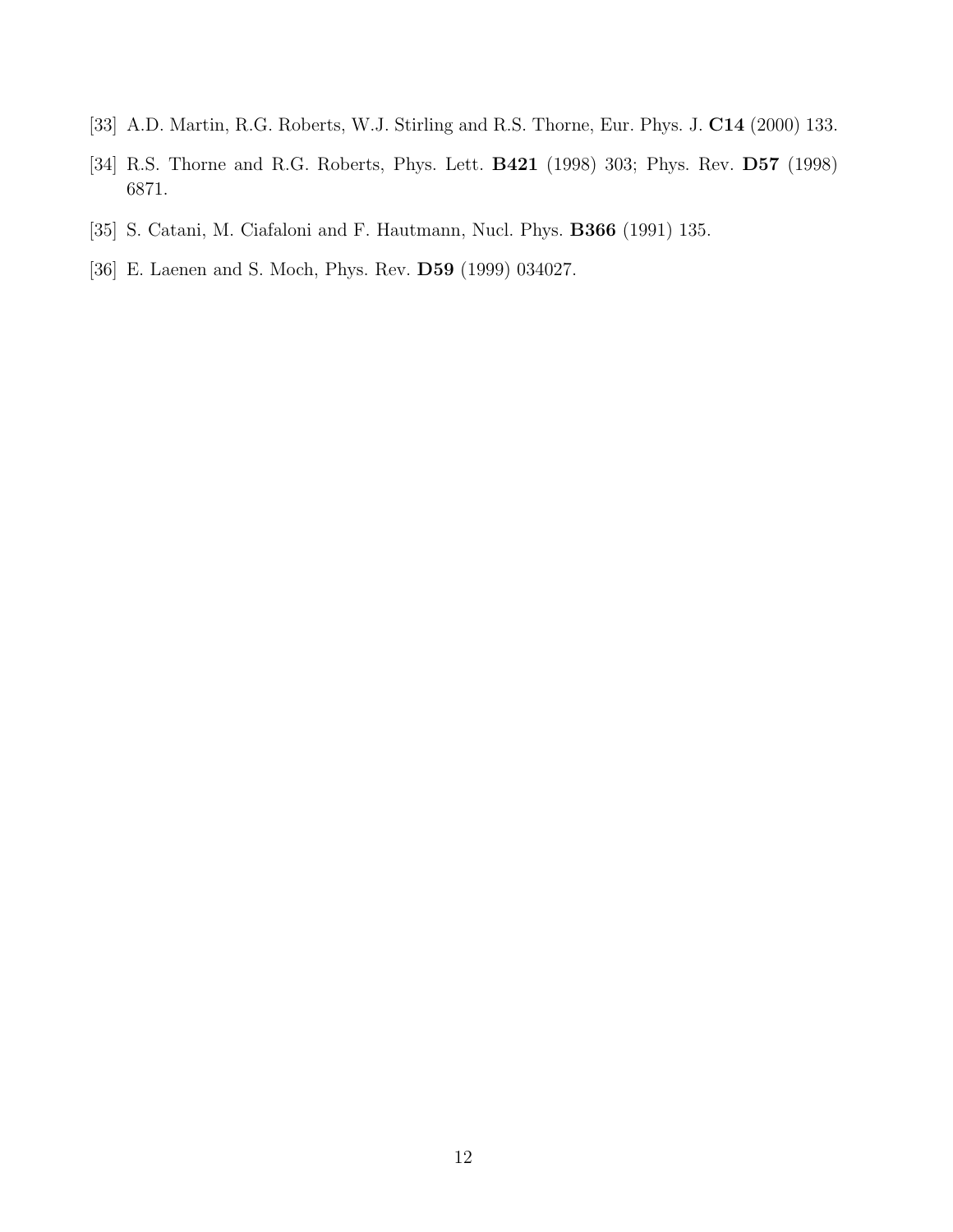- <span id="page-12-0"></span>[33] A.D. Martin, R.G. Roberts, W.J. Stirling and R.S. Thorne, Eur. Phys. J. C14 (2000) 133.
- [34] R.S. Thorne and R.G. Roberts, Phys. Lett. **B421** (1998) 303; Phys. Rev. **D57** (1998) 6871.
- [35] S. Catani, M. Ciafaloni and F. Hautmann, Nucl. Phys. B366 (1991) 135.
- [36] E. Laenen and S. Moch, Phys. Rev. D59 (1999) 034027.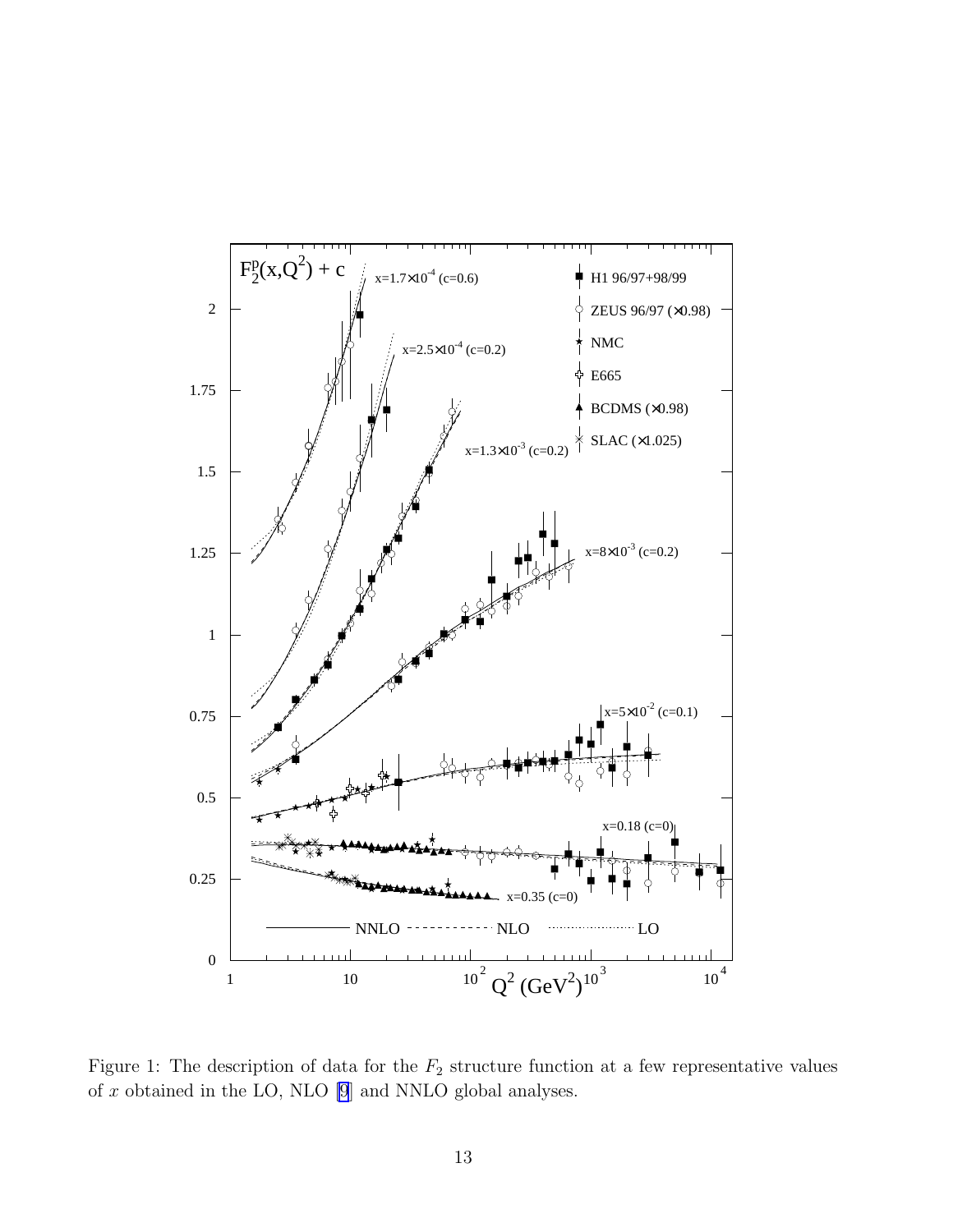

Figure 1: The description of data for the  $F_2$  structure function at a few representative values of  $x$  obtained in the LO, NLO [\[9](#page-10-0)] and NNLO global analyses.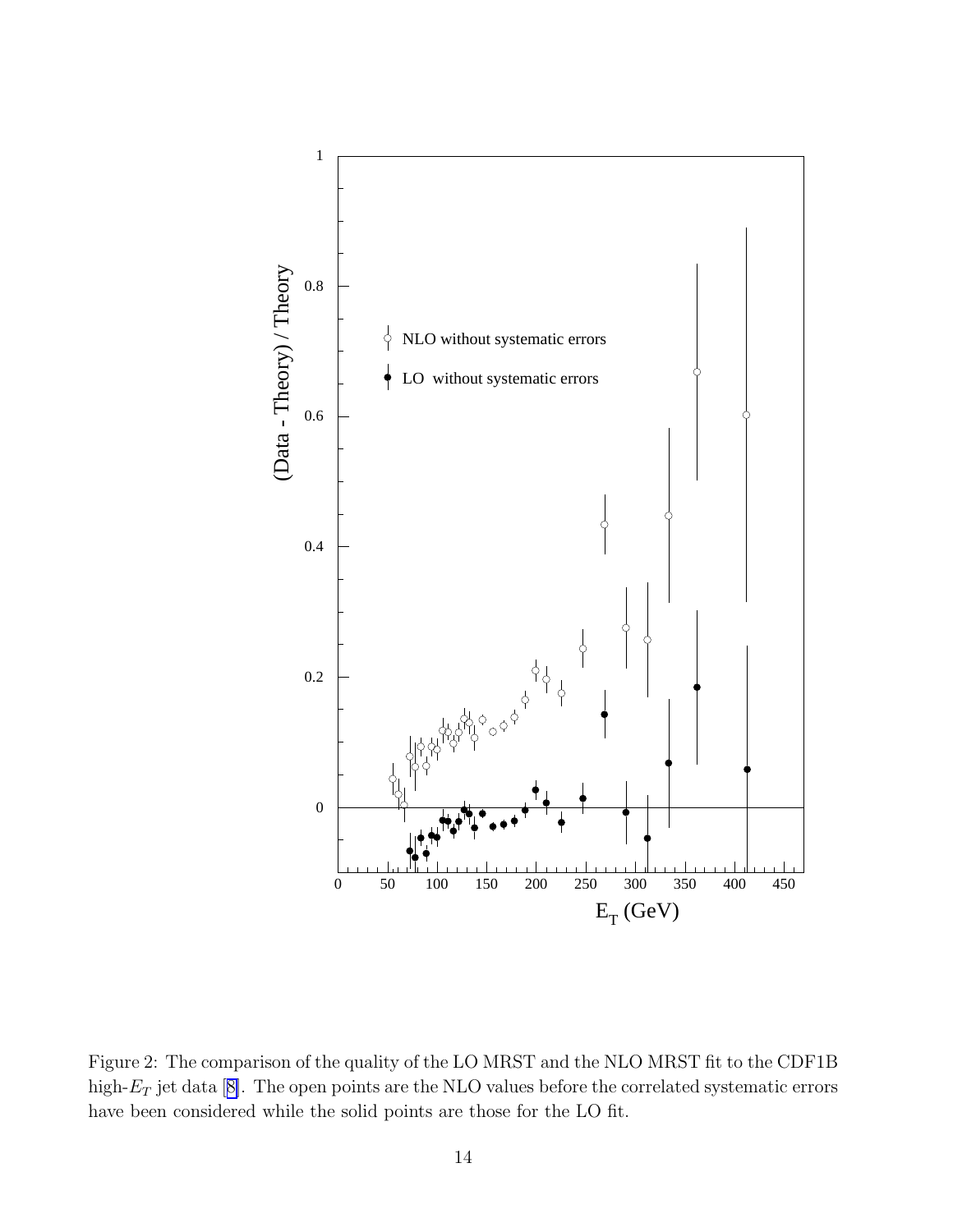

Figure 2: The comparison of the quality of the LO MRST and the NLO MRST fit to the CDF1B high- $E_T$ jet data [[8\]](#page-10-0). The open points are the NLO values before the correlated systematic errors have been considered while the solid points are those for the LO fit.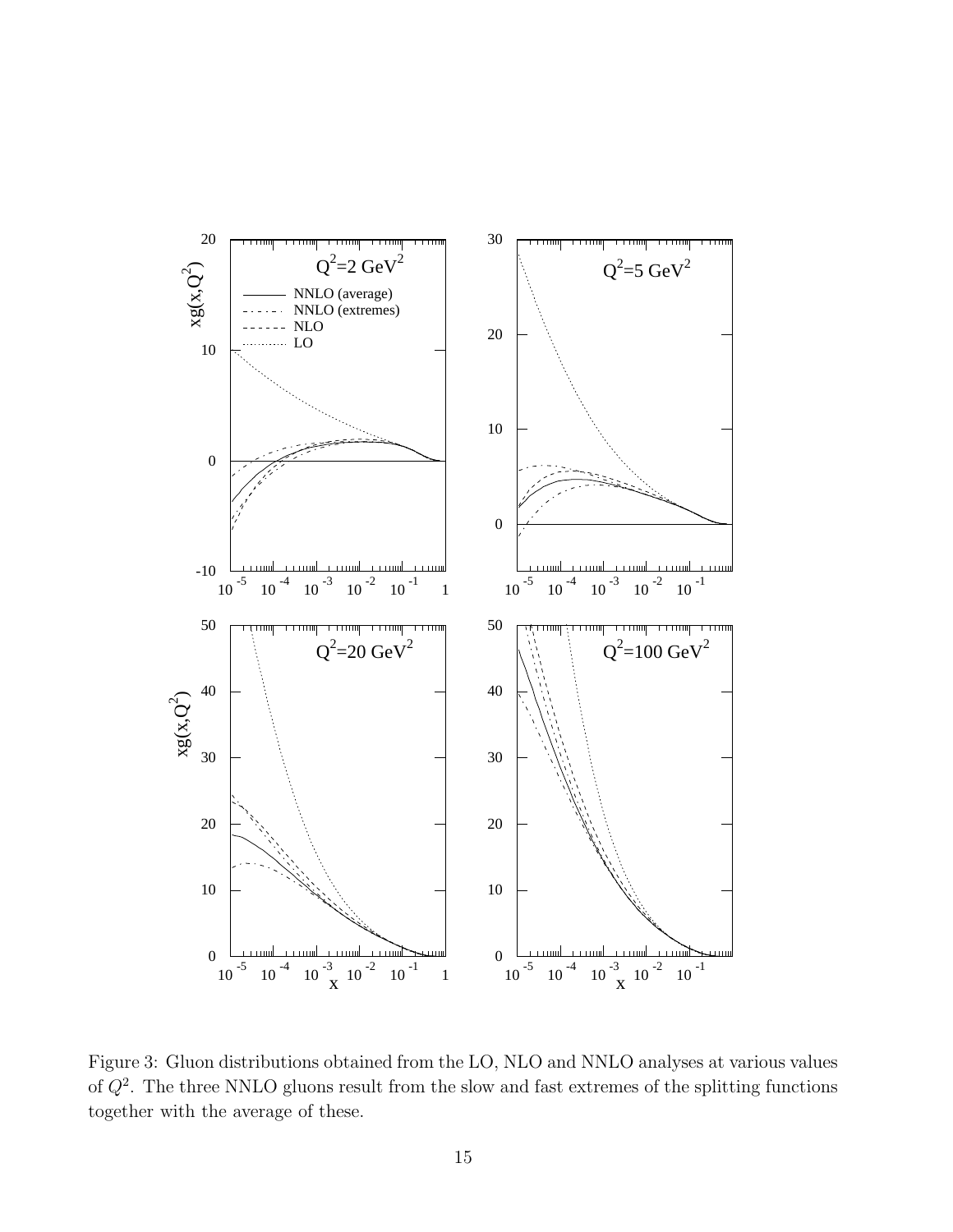

Figure 3: Gluon distributions obtained from the LO, NLO and NNLO analyses at various values of  $Q^2$ . The three NNLO gluons result from the slow and fast extremes of the splitting functions together with the average of these.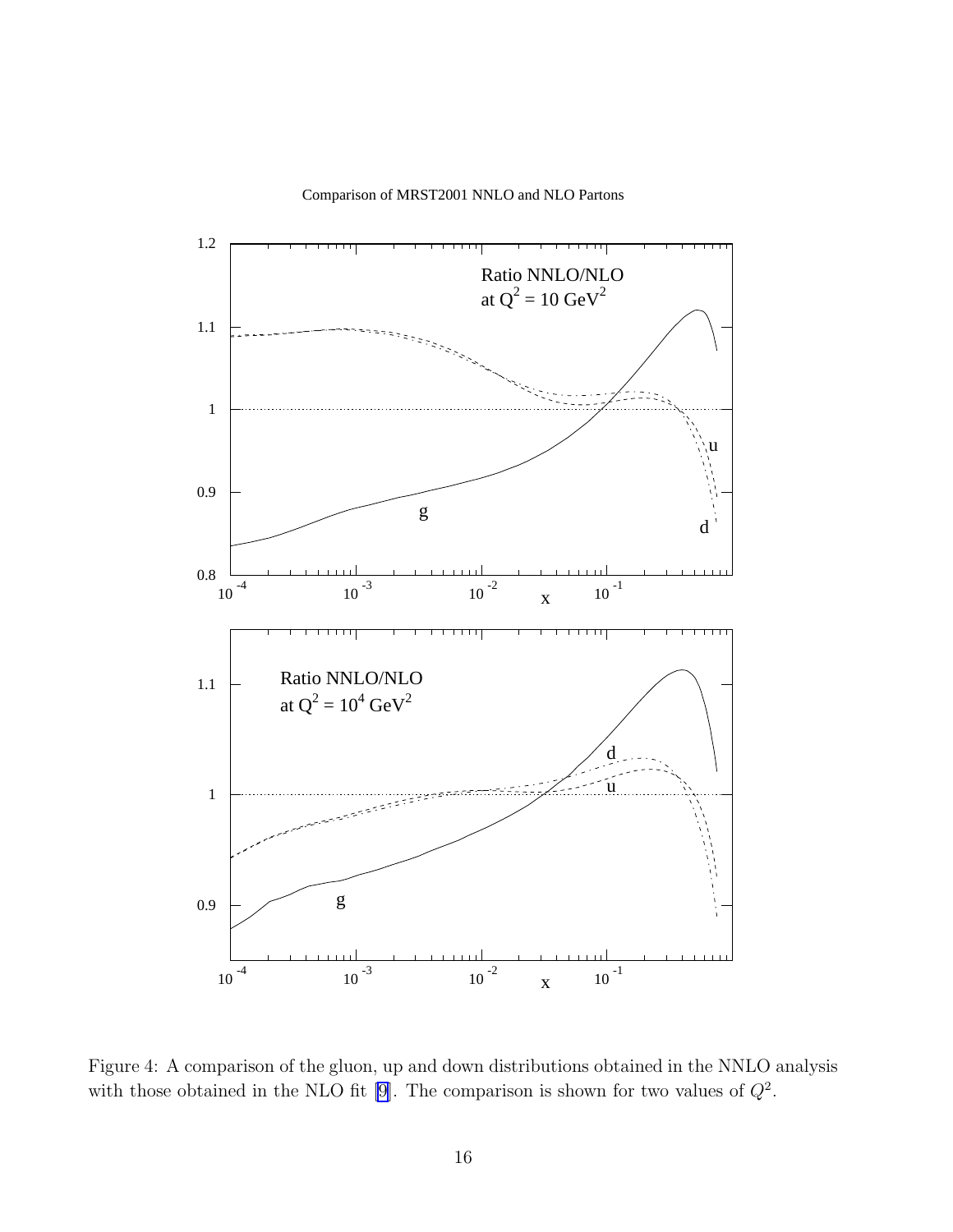



Figure 4: A comparison of the gluon, up and down distributions obtained in the NNLO analysis with those obtained in the NLO fit [\[9](#page-10-0)]. The comparison is shown for two values of  $Q^2$ .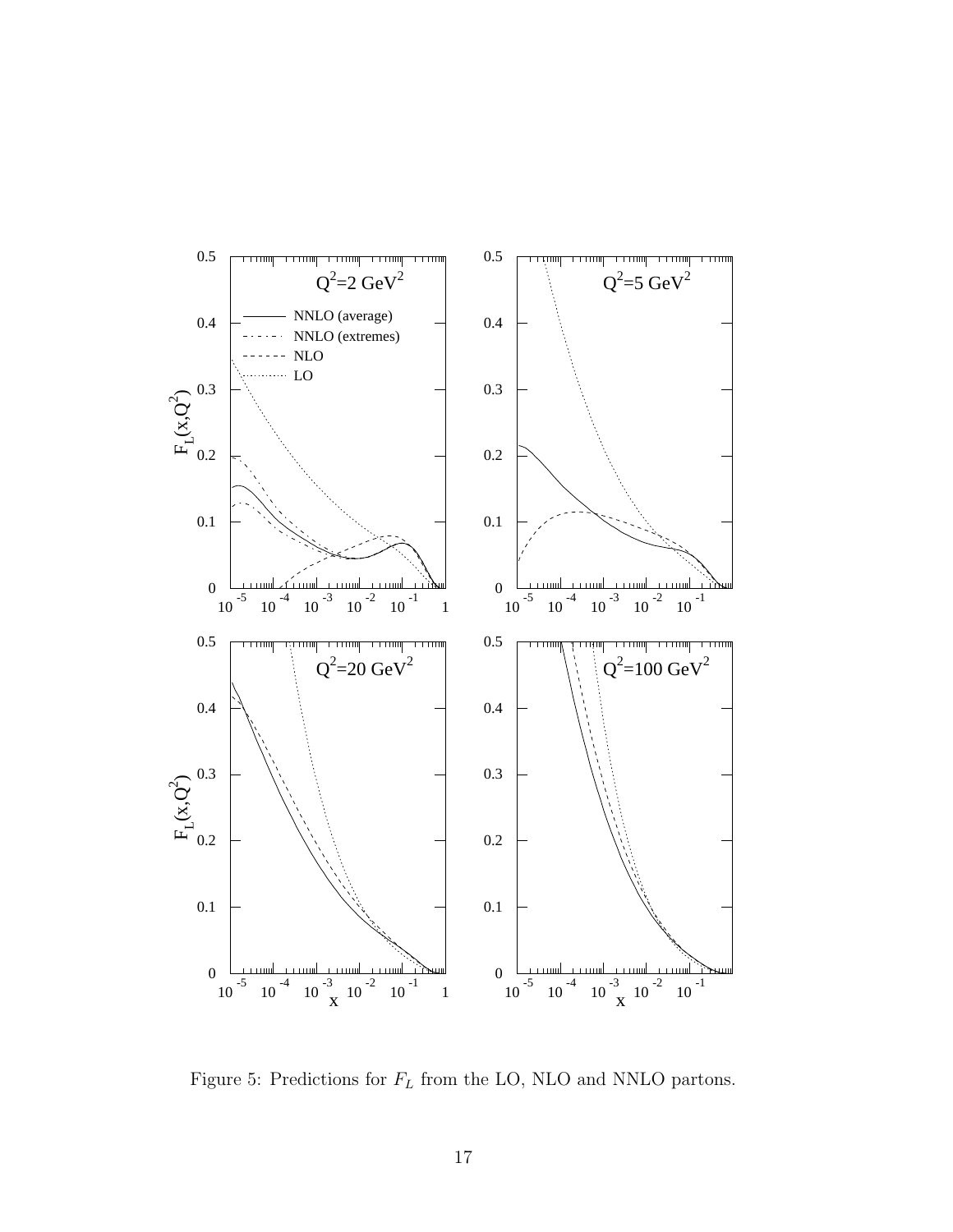

Figure 5: Predictions for  $F_L$  from the LO, NLO and NNLO partons.